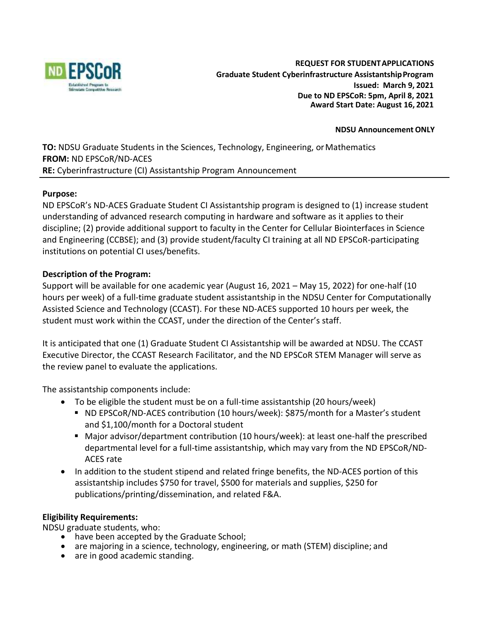

#### **NDSU Announcement ONLY**

**TO:** NDSU Graduate Students in the Sciences, Technology, Engineering, or Mathematics **FROM:** ND EPSCoR/ND-ACES **RE:** Cyberinfrastructure (CI) Assistantship Program Announcement

#### **Purpose:**

ND EPSCoR's ND-ACES Graduate Student CI Assistantship program is designed to (1) increase student understanding of advanced research computing in hardware and software as it applies to their discipline; (2) provide additional support to faculty in the Center for Cellular Biointerfaces in Science and Engineering (CCBSE); and (3) provide student/faculty CI training at all ND EPSCoR-participating institutions on potential CI uses/benefits.

# **Description of the Program:**

Support will be available for one academic year (August 16, 2021 – May 15, 2022) for one-half (10 hours per week) of a full-time graduate student assistantship in the NDSU Center for Computationally Assisted Science and Technology (CCAST). For these ND-ACES supported 10 hours per week, the student must work within the CCAST, under the direction of the Center's staff.

It is anticipated that one (1) Graduate Student CI Assistantship will be awarded at NDSU. The CCAST Executive Director, the CCAST Research Facilitator, and the ND EPSCoR STEM Manager will serve as the review panel to evaluate the applications.

The assistantship components include:

- To be eligible the student must be on a full-time assistantship (20 hours/week)
	- ND EPSCoR/ND-ACES contribution (10 hours/week): \$875/month for a Master's student and \$1,100/month for a Doctoral student
	- Major advisor/department contribution (10 hours/week): at least one-half the prescribed departmental level for a full-time assistantship, which may vary from the ND EPSCoR/ND-ACES rate
- In addition to the student stipend and related fringe benefits, the ND-ACES portion of this assistantship includes \$750 for travel, \$500 for materials and supplies, \$250 for publications/printing/dissemination, and related F&A.

#### **Eligibility Requirements:**

NDSU graduate students, who:

- have been accepted by the Graduate School;
- are majoring in a science, technology, engineering, or math (STEM) discipline; and
- are in good academic standing.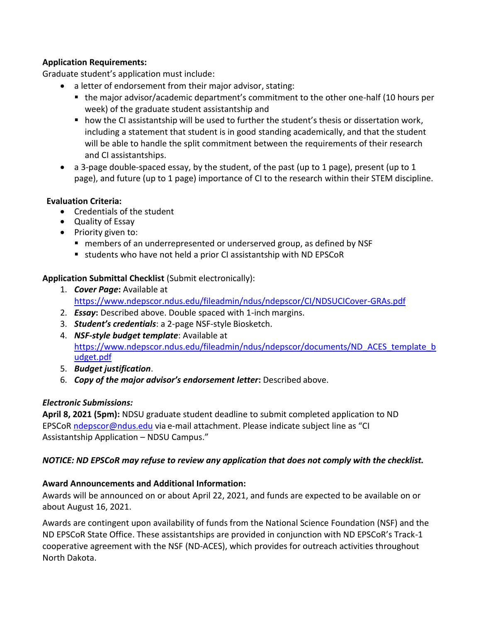# **Application Requirements:**

Graduate student's application must include:

- a letter of endorsement from their major advisor, stating:
	- the major advisor/academic department's commitment to the other one-half (10 hours per week) of the graduate student assistantship and
	- how the CI assistantship will be used to further the student's thesis or dissertation work, including a statement that student is in good standing academically, and that the student will be able to handle the split commitment between the requirements of their research and CI assistantships.
- a 3-page double-spaced essay, by the student, of the past (up to 1 page), present (up to 1 page), and future (up to 1 page) importance of CI to the research within their STEM discipline.

# **Evaluation Criteria:**

- Credentials of the student
- Quality of Essay
- Priority given to:
	- members of an underrepresented or underserved group, as defined by NSF
	- students who have not held a prior CI assistantship with ND EPSCoR

# **Application Submittal Checklist** (Submit electronically):

- 1. *Cover Page***:** Available at <https://www.ndepscor.ndus.edu/fileadmin/ndus/ndepscor/CI/NDSUCICover-GRAs.pdf>
- 2. *Essay***:** Described above. Double spaced with 1-inch margins.
- 3. *Student's credentials*: a 2-page NSF-style Biosketch.
- 4. *NSF-style budget template*: Available at [https://www.ndepscor.ndus.edu/fileadmin/ndus/ndepscor/documents/ND\\_ACES\\_template\\_b](https://www.ndepscor.ndus.edu/fileadmin/ndus/ndepscor/documents/ND_ACES_template_budget.pdf) [udget.pdf](https://www.ndepscor.ndus.edu/fileadmin/ndus/ndepscor/documents/ND_ACES_template_budget.pdf)
- 5. *Budget justification*.
- 6. *Copy of the major advisor's endorsement letter***:** Described above.

# *Electronic Submissions:*

**April 8, 2021 (5pm):** NDSU graduate student deadline to submit completed application to ND EPSCoR [ndepscor@ndus.edu](mailto:ndepscor@ndus.edu) via e-mail attachment. Please indicate subject line as "CI Assistantship Application – NDSU Campus."

# *NOTICE: ND EPSCoR may refuse to review any application that does not comply with the checklist.*

# **Award Announcements and Additional Information:**

Awards will be announced on or about April 22, 2021, and funds are expected to be available on or about August 16, 2021.

Awards are contingent upon availability of funds from the National Science Foundation (NSF) and the ND EPSCoR State Office. These assistantships are provided in conjunction with ND EPSCoR's Track-1 cooperative agreement with the NSF (ND-ACES), which provides for outreach activities throughout North Dakota.